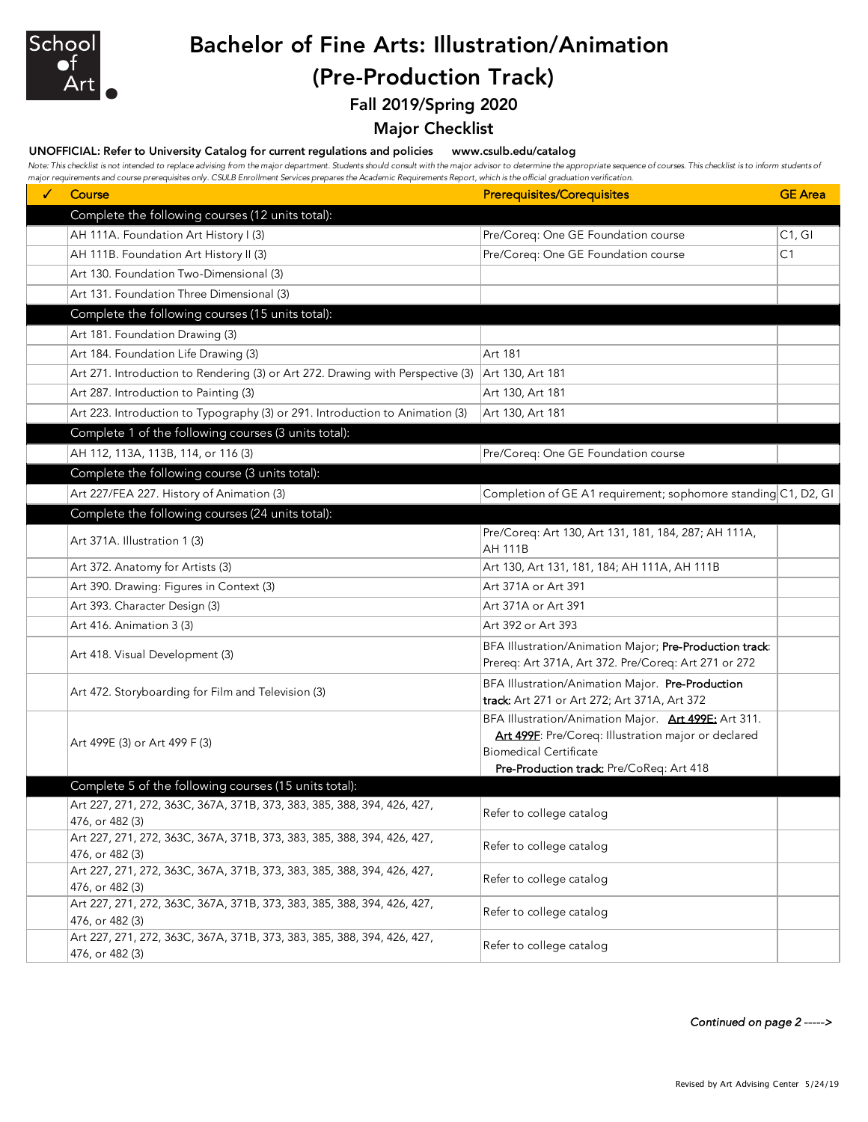

# Bachelor of Fine Arts: Illustration/Animation (Pre-Production Track)

Fall 2019/Spring 2020

## Major Checklist

#### UNOFFICIAL: Refer to University Catalog for current regulations and policies www.csulb.edu/catalog

Note: This checklist is not intended to replace advising from the major department. Students should consult with the major advisor to determine the appropriate sequence of courses. This checklist is to inform students of *major requirements and course prerequisites only. CSULB Enrollment Services prepares the Academic Requirements Report, which is the official graduation verification.*

| ✓ | major requirements and course prerequisites only. Couch Enromment bervices prepares the Academic Requirements Report, which is the onicial graduation verification.<br>Course | <b>Prerequisites/Corequisites</b>                                                                                                                                                        | <b>GE</b> Area |
|---|-------------------------------------------------------------------------------------------------------------------------------------------------------------------------------|------------------------------------------------------------------------------------------------------------------------------------------------------------------------------------------|----------------|
|   | Complete the following courses (12 units total):                                                                                                                              |                                                                                                                                                                                          |                |
|   | AH 111A. Foundation Art History I (3)                                                                                                                                         | Pre/Coreq: One GE Foundation course                                                                                                                                                      | C1, G1         |
|   | AH 111B. Foundation Art History II (3)                                                                                                                                        | Pre/Coreq: One GE Foundation course                                                                                                                                                      | C1             |
|   | Art 130. Foundation Two-Dimensional (3)                                                                                                                                       |                                                                                                                                                                                          |                |
|   | Art 131. Foundation Three Dimensional (3)                                                                                                                                     |                                                                                                                                                                                          |                |
|   | Complete the following courses (15 units total):                                                                                                                              |                                                                                                                                                                                          |                |
|   | Art 181. Foundation Drawing (3)                                                                                                                                               |                                                                                                                                                                                          |                |
|   | Art 184. Foundation Life Drawing (3)                                                                                                                                          | Art 181                                                                                                                                                                                  |                |
|   | Art 271. Introduction to Rendering (3) or Art 272. Drawing with Perspective (3)                                                                                               | Art 130, Art 181                                                                                                                                                                         |                |
|   | Art 287. Introduction to Painting (3)                                                                                                                                         | Art 130, Art 181                                                                                                                                                                         |                |
|   | Art 223. Introduction to Typography (3) or 291. Introduction to Animation (3)                                                                                                 | Art 130, Art 181                                                                                                                                                                         |                |
|   | Complete 1 of the following courses (3 units total):                                                                                                                          |                                                                                                                                                                                          |                |
|   | AH 112, 113A, 113B, 114, or 116 (3)                                                                                                                                           | Pre/Coreq: One GE Foundation course                                                                                                                                                      |                |
|   | Complete the following course (3 units total):                                                                                                                                |                                                                                                                                                                                          |                |
|   | Art 227/FEA 227. History of Animation (3)                                                                                                                                     | Completion of GE A1 requirement; sophomore standing C1, D2, GI                                                                                                                           |                |
|   | Complete the following courses (24 units total):                                                                                                                              |                                                                                                                                                                                          |                |
|   | Art 371A. Illustration 1 (3)                                                                                                                                                  | Pre/Coreq: Art 130, Art 131, 181, 184, 287; AH 111A,<br>AH 111B                                                                                                                          |                |
|   | Art 372. Anatomy for Artists (3)                                                                                                                                              | Art 130, Art 131, 181, 184; AH 111A, AH 111B                                                                                                                                             |                |
|   | Art 390. Drawing: Figures in Context (3)                                                                                                                                      | Art 371A or Art 391                                                                                                                                                                      |                |
|   | Art 393. Character Design (3)                                                                                                                                                 | Art 371A or Art 391                                                                                                                                                                      |                |
|   | Art 416. Animation 3 (3)                                                                                                                                                      | Art 392 or Art 393                                                                                                                                                                       |                |
|   | Art 418. Visual Development (3)                                                                                                                                               | BFA Illustration/Animation Major; Pre-Production track:<br>Prereq: Art 371A, Art 372. Pre/Coreq: Art 271 or 272                                                                          |                |
|   | Art 472. Storyboarding for Film and Television (3)                                                                                                                            | BFA Illustration/Animation Major. Pre-Production<br>track: Art 271 or Art 272; Art 371A, Art 372                                                                                         |                |
|   | Art 499E (3) or Art 499 F (3)                                                                                                                                                 | BFA Illustration/Animation Major. Art 499E: Art 311.<br>Art 499F: Pre/Coreq: Illustration major or declared<br><b>Biomedical Certificate</b><br>Pre-Production track: Pre/CoReq: Art 418 |                |
|   | Complete 5 of the following courses (15 units total):                                                                                                                         |                                                                                                                                                                                          |                |
|   | Art 227, 271, 272, 363C, 367A, 371B, 373, 383, 385, 388, 394, 426, 427,                                                                                                       | Refer to college catalog                                                                                                                                                                 |                |
|   | 476, or 482 (3)                                                                                                                                                               |                                                                                                                                                                                          |                |
|   | Art 227, 271, 272, 363C, 367A, 371B, 373, 383, 385, 388, 394, 426, 427,<br>476, or 482 (3)                                                                                    | Refer to college catalog                                                                                                                                                                 |                |
|   | Art 227, 271, 272, 363C, 367A, 371B, 373, 383, 385, 388, 394, 426, 427,<br>476, or 482 (3)                                                                                    | Refer to college catalog                                                                                                                                                                 |                |
|   | Art 227, 271, 272, 363C, 367A, 371B, 373, 383, 385, 388, 394, 426, 427,<br>476, or 482 (3)                                                                                    | Refer to college catalog                                                                                                                                                                 |                |
|   | Art 227, 271, 272, 363C, 367A, 371B, 373, 383, 385, 388, 394, 426, 427,<br>476, or 482 (3)                                                                                    | Refer to college catalog                                                                                                                                                                 |                |

*Continued on page 2 ----->*